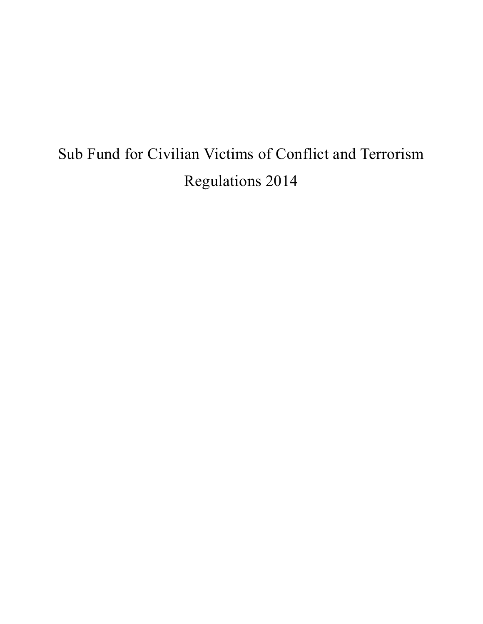# Sub Fund for Civilian Victims of Conflict and Terrorism Regulations 2014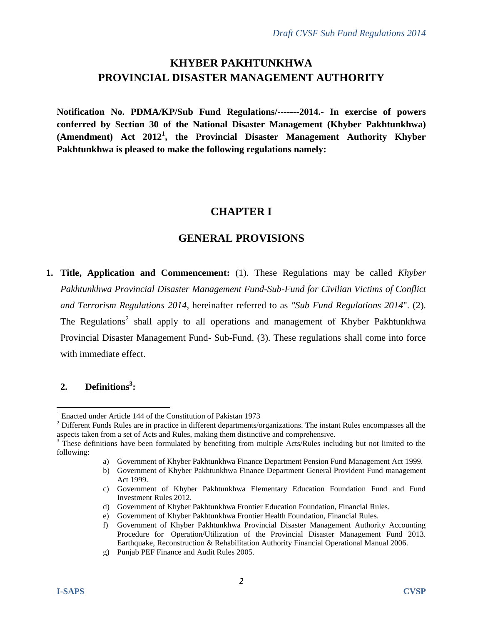# **KHYBER PAKHTUNKHWA PROVINCIAL DISASTER MANAGEMENT AUTHORITY**

**Notification No. PDMA/KP/Sub Fund Regulations/-------2014.- In exercise of powers conferred by Section 30 of the National Disaster Management (Khyber Pakhtunkhwa) (Amendment) Act 2012<sup>1</sup> , the Provincial Disaster Management Authority Khyber Pakhtunkhwa is pleased to make the following regulations namely:**

# **CHAPTER I**

# **GENERAL PROVISIONS**

**1. Title, Application and Commencement:** (1). These Regulations may be called *Khyber Pakhtunkhwa Provincial Disaster Management Fund-Sub-Fund for Civilian Victims of Conflict and Terrorism Regulations 2014*, hereinafter referred to as *"Sub Fund Regulations 2014*". (2). The Regulations<sup>2</sup> shall apply to all operations and management of Khyber Pakhtunkhwa Provincial Disaster Management Fund- Sub-Fund. (3). These regulations shall come into force with immediate effect.

### **2. Definitions<sup>3</sup> :**

<sup>&</sup>lt;sup>1</sup> Enacted under Article 144 of the Constitution of Pakistan 1973

 $2$  Different Funds Rules are in practice in different departments/organizations. The instant Rules encompasses all the aspects taken from a set of Acts and Rules, making them distinctive and comprehensive.

 $3$  These definitions have been formulated by benefiting from multiple Acts/Rules including but not limited to the following:

a) Government of Khyber Pakhtunkhwa Finance Department Pension Fund Management Act 1999.

b) Government of Khyber Pakhtunkhwa Finance Department General Provident Fund management Act 1999.

c) Government of Khyber Pakhtunkhwa Elementary Education Foundation Fund and Fund Investment Rules 2012.

d) Government of Khyber Pakhtunkhwa Frontier Education Foundation, Financial Rules.

e) Government of Khyber Pakhtunkhwa Frontier Health Foundation, Financial Rules.

f) Government of Khyber Pakhtunkhwa Provincial Disaster Management Authority Accounting Procedure for Operation/Utilization of the Provincial Disaster Management Fund 2013. Earthquake, Reconstruction & Rehabilitation Authority Financial Operational Manual 2006.

g) Punjab PEF Finance and Audit Rules 2005.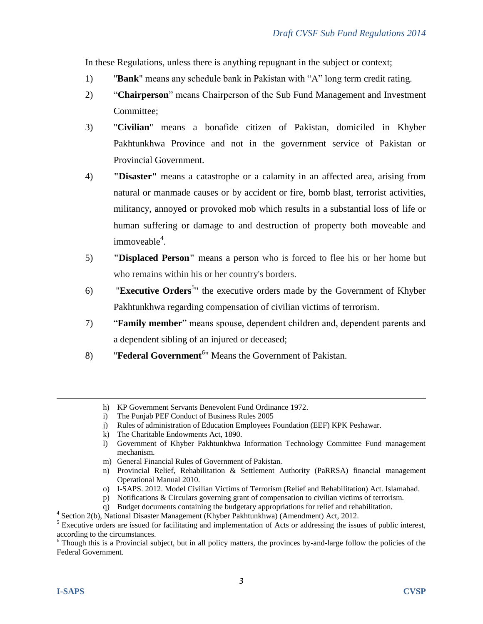In these Regulations, unless there is anything repugnant in the subject or context;

- 1) "**Bank**" means any schedule bank in Pakistan with "A" long term credit rating.
- 2) "**Chairperson**" means Chairperson of the Sub Fund Management and Investment Committee;
- 3) "**Civilian**" means a bonafide citizen of Pakistan, domiciled in Khyber Pakhtunkhwa Province and not in the government service of Pakistan or Provincial Government.
- 4) **"Disaster"** means a catastrophe or a calamity in an affected area, arising from natural or manmade causes or by accident or fire, bomb blast, terrorist activities, militancy, annoyed or provoked mob which results in a substantial loss of life or human suffering or damage to and destruction of property both moveable and immoveable<sup>4</sup>.
- 5) **"Displaced Person"** means a person who is forced to flee his or her home but who remains within his or her country's borders.
- 6) **Executive Orders**<sup>5</sup>" the executive orders made by the Government of Khyber Pakhtunkhwa regarding compensation of civilian victims of terrorism.
- 7) "**Family member**" means spouse, dependent children and, dependent parents and a dependent sibling of an injured or deceased;
- 8) **Federal Government**<sup>6</sup><sup>*m*</sup> Means the Government of Pakistan.

- o) I-SAPS. 2012. Model Civilian Victims of Terrorism (Relief and Rehabilitation) Act. Islamabad.
- p) Notifications & Circulars governing grant of compensation to civilian victims of terrorism.
- q) Budget documents containing the budgetary appropriations for relief and rehabilitation.
- 4 Section 2(b), National Disaster Management (Khyber Pakhtunkhwa) (Amendment) Act, 2012.

h) KP Government Servants Benevolent Fund Ordinance 1972.

i) The Punjab PEF Conduct of Business Rules 2005

j) Rules of administration of Education Employees Foundation (EEF) KPK Peshawar.

k) The Charitable Endowments Act, 1890.

l) Government of Khyber Pakhtunkhwa Information Technology Committee Fund management mechanism.

m) General Financial Rules of Government of Pakistan.

n) Provincial Relief, Rehabilitation & Settlement Authority (PaRRSA) financial management Operational Manual 2010.

<sup>&</sup>lt;sup>5</sup> Executive orders are issued for facilitating and implementation of Acts or addressing the issues of public interest, according to the circumstances.

 $6$  Though this is a Provincial subject, but in all policy matters, the provinces by-and-large follow the policies of the Federal Government.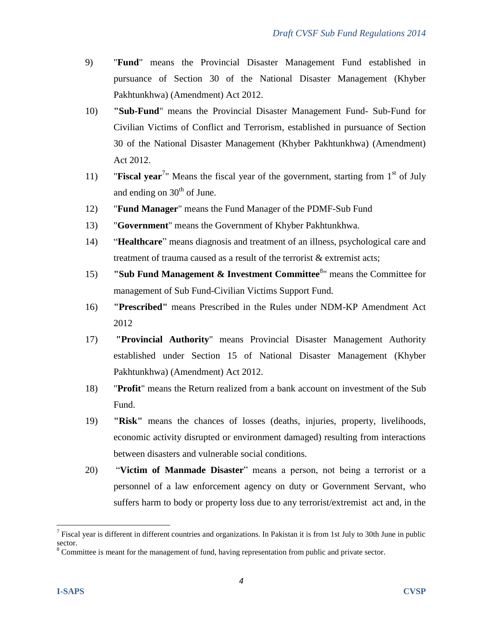- 9) "**Fund**" means the Provincial Disaster Management Fund established in pursuance of Section 30 of the National Disaster Management (Khyber Pakhtunkhwa) (Amendment) Act 2012.
- 10) **"Sub-Fund**" means the Provincial Disaster Management Fund- Sub-Fund for Civilian Victims of Conflict and Terrorism, established in pursuance of Section 30 of the National Disaster Management (Khyber Pakhtunkhwa) (Amendment) Act 2012.
- 11) **Fiscal year**<sup>7</sup> Means the fiscal year of the government, starting from 1<sup>st</sup> of July and ending on  $30<sup>th</sup>$  of June.
- 12) "**Fund Manager**" means the Fund Manager of the PDMF-Sub Fund
- 13) "**Government**" means the Government of Khyber Pakhtunkhwa.
- 14) "**Healthcare**" means diagnosis and treatment of an illness, psychological care and treatment of trauma caused as a result of the terrorist & extremist acts;
- 15) **"Sub Fund Management & Investment Committee**<sup>8</sup>" means the Committee for management of Sub Fund-Civilian Victims Support Fund.
- 16) **"Prescribed"** means Prescribed in the Rules under NDM-KP Amendment Act 2012
- 17) **"Provincial Authority**" means Provincial Disaster Management Authority established under Section 15 of National Disaster Management (Khyber Pakhtunkhwa) (Amendment) Act 2012.
- 18) "**Profit**" means the Return realized from a bank account on investment of the Sub Fund.
- 19) **"Risk"** means the chances of losses (deaths, injuries, property, livelihoods, economic activity disrupted or environment damaged) resulting from interactions between disasters and vulnerable social conditions.
- 20) "**Victim of Manmade Disaster**" means a person, not being a terrorist or a personnel of a law enforcement agency on duty or Government Servant, who suffers harm to body or property loss due to any terrorist/extremist act and, in the

<sup>&</sup>lt;sup>7</sup> Fiscal year is different in different countries and organizations. In Pakistan it is from 1st July to 30th June in public sector.

<sup>8</sup> Committee is meant for the management of fund, having representation from public and private sector.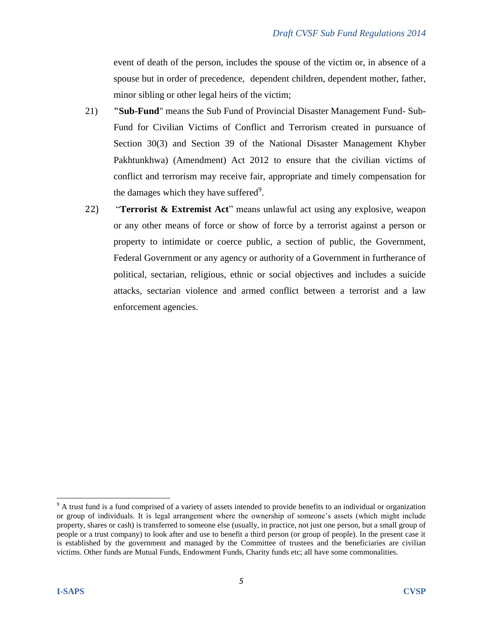event of death of the person, includes the spouse of the victim or, in absence of a spouse but in order of precedence, dependent children, dependent mother, father, minor sibling or other legal heirs of the victim;

- 21) **"Sub-Fund**" means the Sub Fund of Provincial Disaster Management Fund- Sub-Fund for Civilian Victims of Conflict and Terrorism created in pursuance of Section 30(3) and Section 39 of the National Disaster Management Khyber Pakhtunkhwa) (Amendment) Act 2012 to ensure that the civilian victims of conflict and terrorism may receive fair, appropriate and timely compensation for the damages which they have suffered<sup>9</sup>.
- 22) "**Terrorist & Extremist Act**" means unlawful act using any explosive, weapon or any other means of force or show of force by a terrorist against a person or property to intimidate or coerce public, a section of public, the Government, Federal Government or any agency or authority of a Government in furtherance of political, sectarian, religious, ethnic or social objectives and includes a suicide attacks, sectarian violence and armed conflict between a terrorist and a law enforcement agencies.

  $9$  A trust fund is a fund comprised of a variety of assets intended to provide benefits to an individual or organization or group of individuals. It is legal arrangement where the ownership of someone's assets (which might include property, shares or cash) is transferred to someone else (usually, in practice, not just one person, but a small group of people or a trust company) to look after and use to benefit a third person (or group of people). In the present case it is established by the government and managed by the Committee of trustees and the beneficiaries are civilian victims. Other funds are Mutual Funds, Endowment Funds, Charity funds etc; all have some commonalities.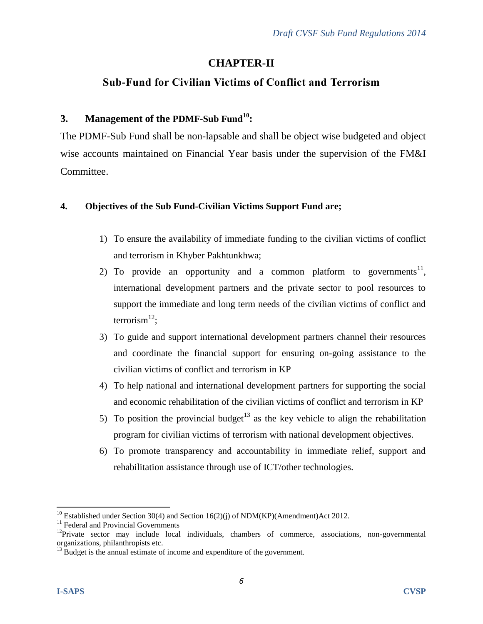# **CHAPTER-II**

# **Sub-Fund for Civilian Victims of Conflict and Terrorism**

## **3. Management of the PDMF-Sub Fund<sup>10</sup>:**

The PDMF-Sub Fund shall be non-lapsable and shall be object wise budgeted and object wise accounts maintained on Financial Year basis under the supervision of the FM&I Committee.

## **4. Objectives of the Sub Fund-Civilian Victims Support Fund are;**

- 1) To ensure the availability of immediate funding to the civilian victims of conflict and terrorism in Khyber Pakhtunkhwa;
- 2) To provide an opportunity and a common platform to governments<sup>11</sup>, international development partners and the private sector to pool resources to support the immediate and long term needs of the civilian victims of conflict and terrorism $^{12}$ ;
- 3) To guide and support international development partners channel their resources and coordinate the financial support for ensuring on-going assistance to the civilian victims of conflict and terrorism in KP
- 4) To help national and international development partners for supporting the social and economic rehabilitation of the civilian victims of conflict and terrorism in KP
- 5) To position the provincial budget<sup>13</sup> as the key vehicle to align the rehabilitation program for civilian victims of terrorism with national development objectives.
- 6) To promote transparency and accountability in immediate relief, support and rehabilitation assistance through use of ICT/other technologies.

<sup>&</sup>lt;sup>10</sup> Established under Section 30(4) and Section 16(2)(j) of NDM(KP)(Amendment)Act 2012.

<sup>&</sup>lt;sup>11</sup> Federal and Provincial Governments

 $12$ Private sector may include local individuals, chambers of commerce, associations, non-governmental organizations, philanthropists etc.

<sup>&</sup>lt;sup>13</sup> Budget is the annual estimate of income and expenditure of the government.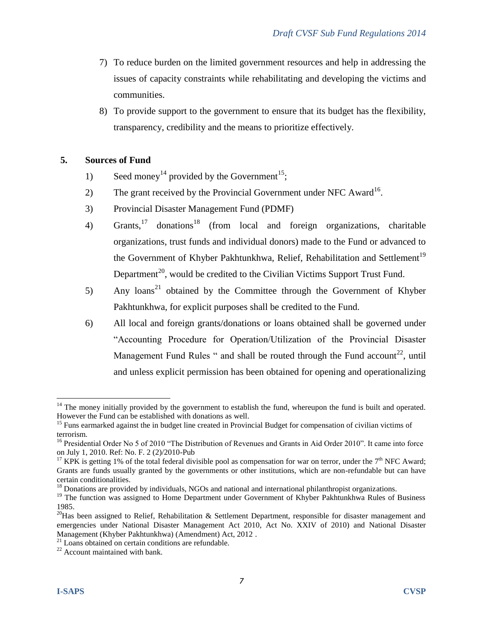- 7) To reduce burden on the limited government resources and help in addressing the issues of capacity constraints while rehabilitating and developing the victims and communities.
- 8) To provide support to the government to ensure that its budget has the flexibility, transparency, credibility and the means to prioritize effectively.

#### **5. Sources of Fund**

- 1) Seed money<sup>14</sup> provided by the Government<sup>15</sup>;
- 2) The grant received by the Provincial Government under NFC Award<sup>16</sup>.
- 3) Provincial Disaster Management Fund (PDMF)
- 4) Grants, <sup>17</sup> donations<sup>18</sup> (from local and foreign organizations, charitable organizations, trust funds and individual donors) made to the Fund or advanced to the Government of Khyber Pakhtunkhwa, Relief, Rehabilitation and Settlement<sup>19</sup> Department<sup>20</sup>, would be credited to the Civilian Victims Support Trust Fund.
- 5) Any loans<sup>21</sup> obtained by the Committee through the Government of Khyber Pakhtunkhwa, for explicit purposes shall be credited to the Fund.
- 6) All local and foreign grants/donations or loans obtained shall be governed under "Accounting Procedure for Operation/Utilization of the Provincial Disaster Management Fund Rules " and shall be routed through the Fund account<sup>22</sup>, until and unless explicit permission has been obtained for opening and operationalizing

 $14$  The money initially provided by the government to establish the fund, whereupon the fund is built and operated. However the Fund can be established with donations as well.

<sup>&</sup>lt;sup>15</sup> Funs earmarked against the in budget line created in Provincial Budget for compensation of civilian victims of terrorism.

<sup>&</sup>lt;sup>16</sup> Presidential Order No 5 of 2010 "The Distribution of Revenues and Grants in Aid Order 2010". It came into force on July 1, 2010. Ref: No. F. 2 (2)/2010-Pub

<sup>&</sup>lt;sup>17</sup> KPK is getting 1% of the total federal divisible pool as compensation for war on terror, under the 7<sup>th</sup> NFC Award; Grants are funds usually granted by the governments or other institutions, which are non-refundable but can have certain conditionalities.

<sup>&</sup>lt;sup>18</sup> Donations are provided by individuals, NGOs and national and international philanthropist organizations.

<sup>&</sup>lt;sup>19</sup> The function was assigned to Home Department under Government of Khyber Pakhtunkhwa Rules of Business 1985.

 $20$ Has been assigned to Relief, Rehabilitation & Settlement Department, responsible for disaster management and emergencies under National Disaster Management Act 2010, Act No. XXIV of 2010) and National Disaster Management (Khyber Pakhtunkhwa) (Amendment) Act, 2012 .

 $21$  Loans obtained on certain conditions are refundable.

<sup>22</sup> Account maintained with bank.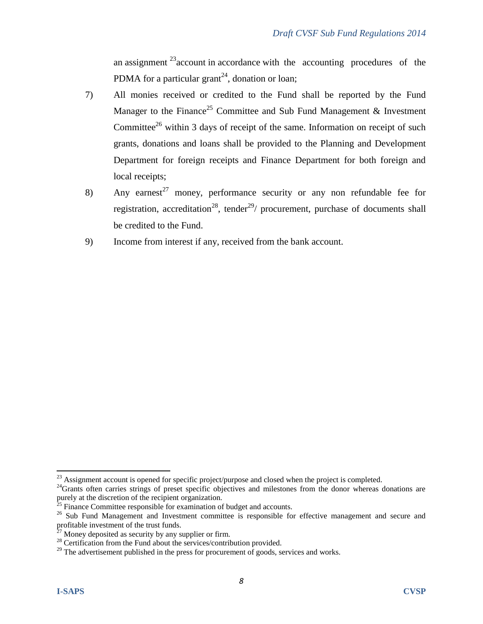an assignment  $23$  account in accordance with the accounting procedures of the PDMA for a particular grant<sup>24</sup>, donation or loan;

- 7) All monies received or credited to the Fund shall be reported by the Fund Manager to the Finance<sup>25</sup> Committee and Sub Fund Management  $\&$  Investment Committee<sup>26</sup> within 3 days of receipt of the same. Information on receipt of such grants, donations and loans shall be provided to the Planning and Development Department for foreign receipts and Finance Department for both foreign and local receipts;
- 8) Any earnest<sup>27</sup> money, performance security or any non refundable fee for registration, accreditation<sup>28</sup>, tender<sup>29</sup>/ procurement, purchase of documents shall be credited to the Fund.
- 9) Income from interest if any, received from the bank account.

 $^{23}$  Assignment account is opened for specific project/purpose and closed when the project is completed.

 $^{24}$ Grants often carries strings of preset specific objectives and milestones from the donor whereas donations are purely at the discretion of the recipient organization.

 $25$  Finance Committee responsible for examination of budget and accounts.

<sup>&</sup>lt;sup>26</sup> Sub Fund Management and Investment committee is responsible for effective management and secure and profitable investment of the trust funds.

Money deposited as security by any supplier or firm.

 $28$  Certification from the Fund about the services/contribution provided.

 $^{29}$  The advertisement published in the press for procurement of goods, services and works.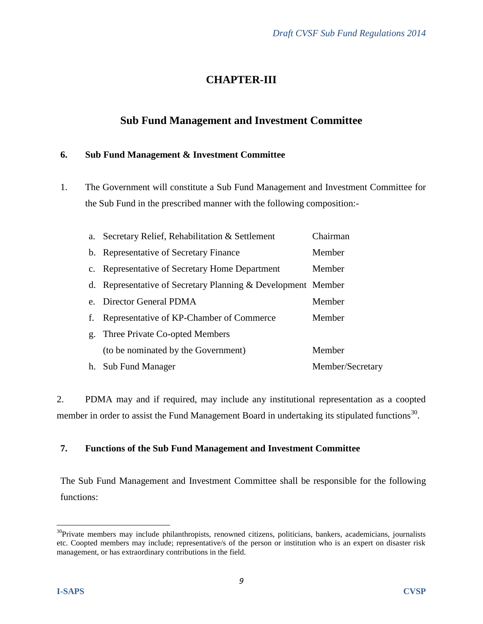# **CHAPTER-III**

## **Sub Fund Management and Investment Committee**

#### **6. Sub Fund Management & Investment Committee**

1. The Government will constitute a Sub Fund Management and Investment Committee for the Sub Fund in the prescribed manner with the following composition:-

|    | a. Secretary Relief, Rehabilitation & Settlement             | Chairman         |
|----|--------------------------------------------------------------|------------------|
|    | b. Representative of Secretary Finance<br>Member             |                  |
|    | c. Representative of Secretary Home Department               | Member           |
|    | d. Representative of Secretary Planning & Development Member |                  |
|    | e. Director General PDMA                                     | Member           |
| f. | Representative of KP-Chamber of Commerce                     | Member           |
|    | g. Three Private Co-opted Members                            |                  |
|    | (to be nominated by the Government)                          | Member           |
|    | h. Sub Fund Manager                                          | Member/Secretary |

2. PDMA may and if required, may include any institutional representation as a coopted member in order to assist the Fund Management Board in undertaking its stipulated functions<sup>30</sup>.

#### **7. Functions of the Sub Fund Management and Investment Committee**

The Sub Fund Management and Investment Committee shall be responsible for the following functions:

 $30$ Private members may include philanthropists, renowned citizens, politicians, bankers, academicians, journalists etc. Coopted members may include; representative/s of the person or institution who is an expert on disaster risk management, or has extraordinary contributions in the field.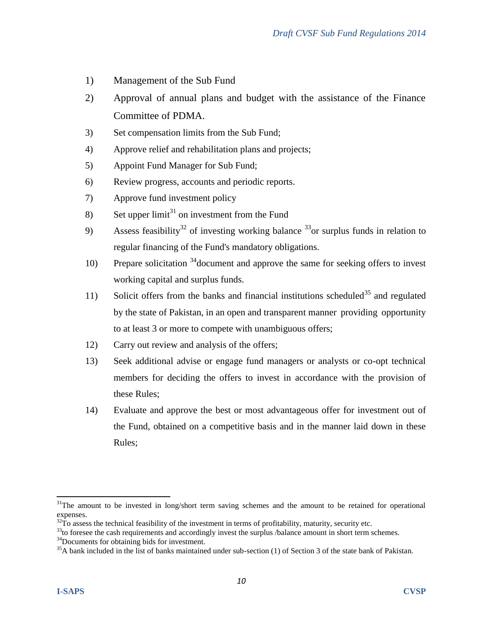- 1) Management of the Sub Fund
- 2) Approval of annual plans and budget with the assistance of the Finance Committee of PDMA.
- 3) Set compensation limits from the Sub Fund;
- 4) Approve relief and rehabilitation plans and projects;
- 5) Appoint Fund Manager for Sub Fund;
- 6) Review progress, accounts and periodic reports.
- 7) Approve fund investment policy
- 8) Set upper  $\lim_{t \to 1}$  on investment from the Fund
- 9) Assess feasibility<sup>32</sup> of investing working balance  $33$  or surplus funds in relation to regular financing of the Fund's mandatory obligations.
- 10) Prepare solicitation  $34$  document and approve the same for seeking offers to invest working capital and surplus funds.
- 11) Solicit offers from the banks and financial institutions scheduled<sup>35</sup> and regulated by the state of Pakistan, in an open and transparent manner providing opportunity to at least 3 or more to compete with unambiguous offers;
- 12) Carry out review and analysis of the offers;
- 13) Seek additional advise or engage fund managers or analysts or co-opt technical members for deciding the offers to invest in accordance with the provision of these Rules;
- 14) Evaluate and approve the best or most advantageous offer for investment out of the Fund, obtained on a competitive basis and in the manner laid down in these Rules;

<sup>34</sup>Documents for obtaining bids for investment.

  $31$ The amount to be invested in long/short term saving schemes and the amount to be retained for operational expenses.

 $32\text{T}$  assess the technical feasibility of the investment in terms of profitability, maturity, security etc.

<sup>&</sup>lt;sup>33</sup>to foresee the cash requirements and accordingly invest the surplus /balance amount in short term schemes.

 $35A$  bank included in the list of banks maintained under sub-section (1) of Section 3 of the state bank of Pakistan.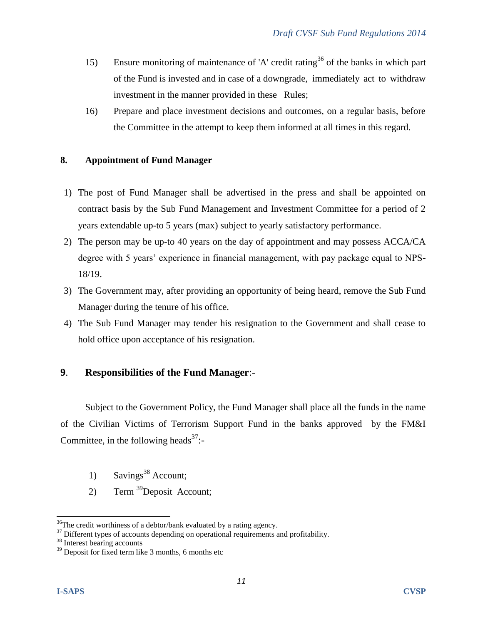- 15) Ensure monitoring of maintenance of 'A' credit rating<sup>36</sup> of the banks in which part of the Fund is invested and in case of a downgrade, immediately act to withdraw investment in the manner provided in these Rules;
- 16) Prepare and place investment decisions and outcomes, on a regular basis, before the Committee in the attempt to keep them informed at all times in this regard.

#### **8. Appointment of Fund Manager**

- 1) The post of Fund Manager shall be advertised in the press and shall be appointed on contract basis by the Sub Fund Management and Investment Committee for a period of 2 years extendable up-to 5 years (max) subject to yearly satisfactory performance.
- 2) The person may be up-to 40 years on the day of appointment and may possess ACCA/CA degree with 5 years' experience in financial management, with pay package equal to NPS-18/19.
- 3) The Government may, after providing an opportunity of being heard, remove the Sub Fund Manager during the tenure of his office.
- 4) The Sub Fund Manager may tender his resignation to the Government and shall cease to hold office upon acceptance of his resignation.

#### **9**. **Responsibilities of the Fund Manager**:-

Subject to the Government Policy, the Fund Manager shall place all the funds in the name of the Civilian Victims of Terrorism Support Fund in the banks approved by the FM&I Committee, in the following heads<sup>37</sup>:-

- 1) Savings<sup>38</sup> Account;
- 2) Term <sup>39</sup>Deposit Account;

  $36$ The credit worthiness of a debtor/bank evaluated by a rating agency.

 $37$  Different types of accounts depending on operational requirements and profitability.

<sup>38</sup> Interest bearing accounts

 $39$  Deposit for fixed term like 3 months, 6 months etc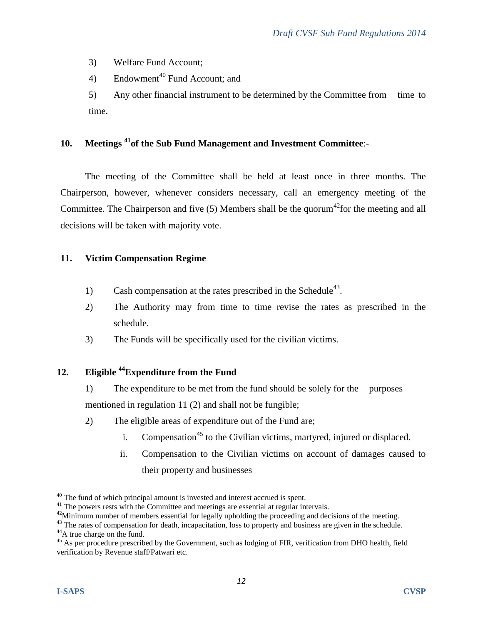3) Welfare Fund Account;

4) Endowment<sup>40</sup> Fund Account; and

5) Any other financial instrument to be determined by the Committee from time to time.

## **10. Meetings <sup>41</sup>of the Sub Fund Management and Investment Committee**:-

The meeting of the Committee shall be held at least once in three months. The Chairperson, however, whenever considers necessary, call an emergency meeting of the Committee. The Chairperson and five  $(5)$  Members shall be the quorum<sup>42</sup> for the meeting and all decisions will be taken with majority vote.

#### **11. Victim Compensation Regime**

- 1) Cash compensation at the rates prescribed in the Schedule<sup>43</sup>.
- 2) The Authority may from time to time revise the rates as prescribed in the schedule.
- 3) The Funds will be specifically used for the civilian victims.

## **12. Eligible <sup>44</sup>Expenditure from the Fund**

- 1) The expenditure to be met from the fund should be solely for the purposes mentioned in regulation 11 (2) and shall not be fungible;
- 2) The eligible areas of expenditure out of the Fund are;
	- i. Compensation<sup>45</sup> to the Civilian victims, martyred, injured or displaced.
	- ii. Compensation to the Civilian victims on account of damages caused to their property and businesses

  $40$  The fund of which principal amount is invested and interest accrued is spent.

<sup>&</sup>lt;sup>41</sup> The powers rests with the Committee and meetings are essential at regular intervals.

<sup>&</sup>lt;sup>42</sup>Minimum number of members essential for legally upholding the proceeding and decisions of the meeting.

<sup>&</sup>lt;sup>43</sup> The rates of compensation for death, incapacitation, loss to property and business are given in the schedule.

<sup>&</sup>lt;sup>44</sup>A true charge on the fund.

<sup>&</sup>lt;sup>45</sup> As per procedure prescribed by the Government, such as lodging of FIR, verification from DHO health, field verification by Revenue staff/Patwari etc.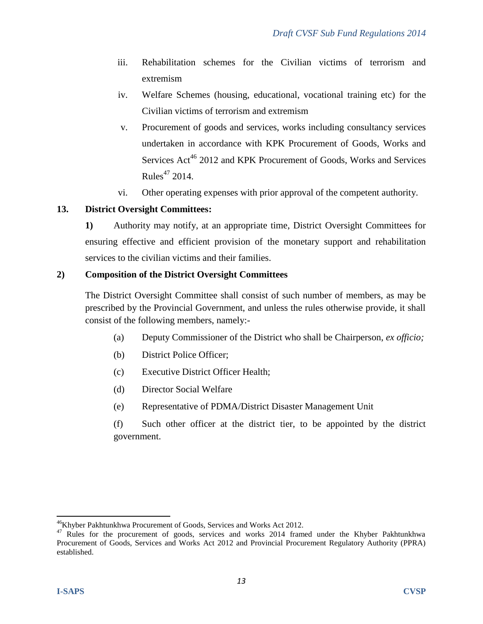- iii. Rehabilitation schemes for the Civilian victims of terrorism and extremism
- iv. Welfare Schemes (housing, educational, vocational training etc) for the Civilian victims of terrorism and extremism
- v. Procurement of goods and services, works including consultancy services undertaken in accordance with KPK Procurement of Goods, Works and Services Act<sup>46</sup> 2012 and KPK Procurement of Goods, Works and Services Rules $47$  2014.
- vi. Other operating expenses with prior approval of the competent authority.

#### **13. District Oversight Committees:**

**1)** Authority may notify, at an appropriate time, District Oversight Committees for ensuring effective and efficient provision of the monetary support and rehabilitation services to the civilian victims and their families.

#### **2) Composition of the District Oversight Committees**

The District Oversight Committee shall consist of such number of members, as may be prescribed by the Provincial Government, and unless the rules otherwise provide, it shall consist of the following members, namely:-

- (a) Deputy Commissioner of the District who shall be Chairperson, *ex officio;*
- (b) District Police Officer;
- (c) Executive District Officer Health;
- (d) Director Social Welfare
- (e) Representative of PDMA/District Disaster Management Unit
- (f) Such other officer at the district tier, to be appointed by the district government.

<sup>&</sup>lt;sup>46</sup>Khyber Pakhtunkhwa Procurement of Goods, Services and Works Act 2012.

<sup>&</sup>lt;sup>47</sup> Rules for the procurement of goods, services and works 2014 framed under the Khyber Pakhtunkhwa Procurement of Goods, Services and Works Act 2012 and Provincial Procurement Regulatory Authority (PPRA) established.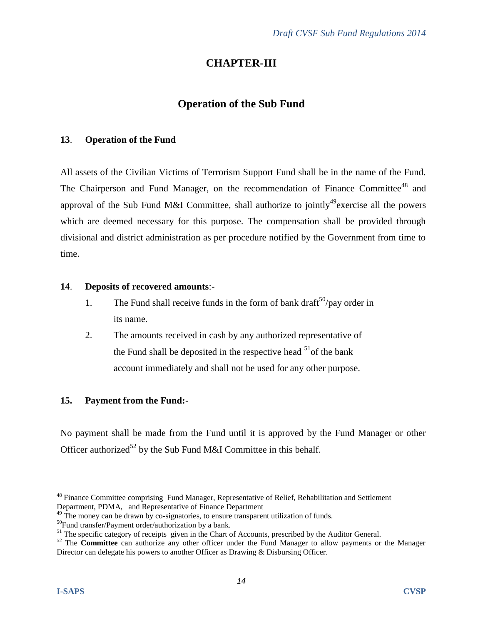# **CHAPTER-III**

## **Operation of the Sub Fund**

#### **13**. **Operation of the Fund**

All assets of the Civilian Victims of Terrorism Support Fund shall be in the name of the Fund. The Chairperson and Fund Manager, on the recommendation of Finance Committee<sup>48</sup> and approval of the Sub Fund M&I Committee, shall authorize to jointly<sup>49</sup> exercise all the powers which are deemed necessary for this purpose. The compensation shall be provided through divisional and district administration as per procedure notified by the Government from time to time.

#### **14**. **Deposits of recovered amounts**:-

- 1. The Fund shall receive funds in the form of bank draft<sup>50</sup>/pay order in its name.
- 2. The amounts received in cash by any authorized representative of the Fund shall be deposited in the respective head  $51$  of the bank account immediately and shall not be used for any other purpose.

#### **15. Payment from the Fund:**-

No payment shall be made from the Fund until it is approved by the Fund Manager or other Officer authorized<sup>52</sup> by the Sub Fund M&I Committee in this behalf.

 <sup>48</sup> Finance Committee comprising Fund Manager, Representative of Relief, Rehabilitation and Settlement Department, PDMA, and Representative of Finance Department

 $^{49}$  The money can be drawn by co-signatories, to ensure transparent utilization of funds.

<sup>50</sup>Fund transfer/Payment order/authorization by a bank.

<sup>&</sup>lt;sup>51</sup> The specific category of receipts given in the Chart of Accounts, prescribed by the Auditor General.

<sup>&</sup>lt;sup>52</sup> The **Committee** can authorize any other officer under the Fund Manager to allow payments or the Manager Director can delegate his powers to another Officer as Drawing & Disbursing Officer.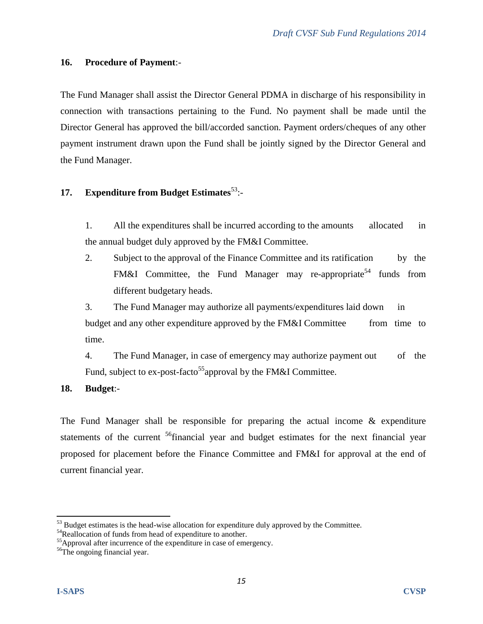#### **16. Procedure of Payment**:-

The Fund Manager shall assist the Director General PDMA in discharge of his responsibility in connection with transactions pertaining to the Fund. No payment shall be made until the Director General has approved the bill/accorded sanction. Payment orders/cheques of any other payment instrument drawn upon the Fund shall be jointly signed by the Director General and the Fund Manager.

#### **17.** Expenditure from Budget Estimates<sup>53</sup>:-

1. All the expenditures shall be incurred according to the amounts allocated in the annual budget duly approved by the FM&I Committee.

2. Subject to the approval of the Finance Committee and its ratification by the FM&I Committee, the Fund Manager may re-appropriate<sup>54</sup> funds from different budgetary heads.

3. The Fund Manager may authorize all payments/expenditures laid down in budget and any other expenditure approved by the FM&I Committee from time to time.

4. The Fund Manager, in case of emergency may authorize payment out of the Fund, subject to ex-post-facto<sup>55</sup> approval by the FM&I Committee.

#### **18. Budget**:-

The Fund Manager shall be responsible for preparing the actual income & expenditure statements of the current <sup>56</sup>financial year and budget estimates for the next financial year proposed for placement before the Finance Committee and FM&I for approval at the end of current financial year.

<sup>&</sup>lt;sup>53</sup> Budget estimates is the head-wise allocation for expenditure duly approved by the Committee.

<sup>&</sup>lt;sup>54</sup>Reallocation of funds from head of expenditure to another.

<sup>&</sup>lt;sup>55</sup>Approval after incurrence of the expenditure in case of emergency.

<sup>56</sup>The ongoing financial year.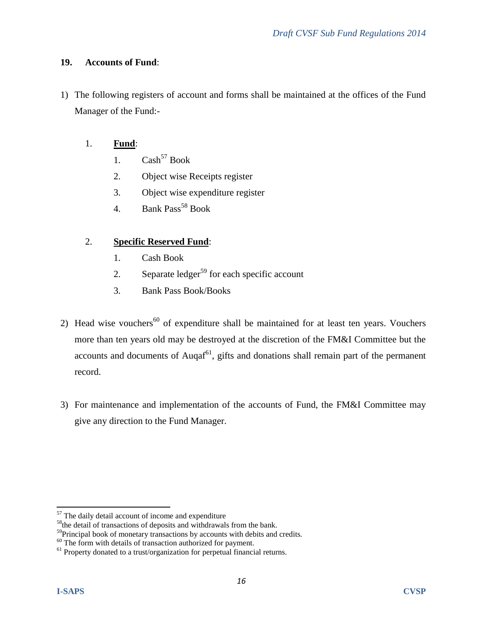#### **19. Accounts of Fund**:

1) The following registers of account and forms shall be maintained at the offices of the Fund Manager of the Fund:-

#### 1. **Fund**:

- 1.  $Cash<sup>57</sup> Book$
- 2. Object wise Receipts register
- 3. Object wise expenditure register
- 4. Bank  $Pass^{58} Book$

#### 2. **Specific Reserved Fund**:

- 1. Cash Book
- 2. Separate ledger<sup>59</sup> for each specific account
- 3. Bank Pass Book/Books
- 2) Head wise vouchers<sup>60</sup> of expenditure shall be maintained for at least ten years. Vouchers more than ten years old may be destroyed at the discretion of the FM&I Committee but the accounts and documents of Auqaf $^{61}$ , gifts and donations shall remain part of the permanent record.
- 3) For maintenance and implementation of the accounts of Fund, the FM&I Committee may give any direction to the Fund Manager.

<sup>&</sup>lt;sup>57</sup> The daily detail account of income and expenditure

<sup>&</sup>lt;sup>58</sup>the detail of transactions of deposits and withdrawals from the bank.

<sup>&</sup>lt;sup>59</sup>Principal book of monetary transactions by accounts with debits and credits.

 $60$  The form with details of transaction authorized for payment.

 $61$  Property donated to a trust/organization for perpetual financial returns.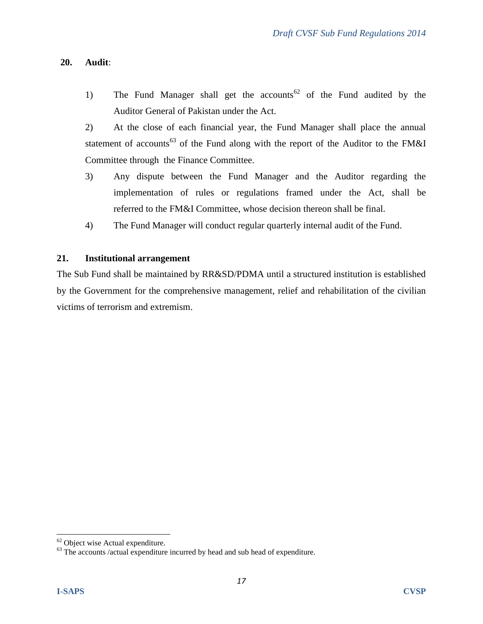#### **20. Audit**:

1) The Fund Manager shall get the accounts<sup>62</sup> of the Fund audited by the Auditor General of Pakistan under the Act.

2) At the close of each financial year, the Fund Manager shall place the annual statement of accounts<sup>63</sup> of the Fund along with the report of the Auditor to the FM&I Committee through the Finance Committee.

- 3) Any dispute between the Fund Manager and the Auditor regarding the implementation of rules or regulations framed under the Act, shall be referred to the FM&I Committee, whose decision thereon shall be final.
- 4) The Fund Manager will conduct regular quarterly internal audit of the Fund.

#### **21. Institutional arrangement**

The Sub Fund shall be maintained by RR&SD/PDMA until a structured institution is established by the Government for the comprehensive management, relief and rehabilitation of the civilian victims of terrorism and extremism.

 $62$  Object wise Actual expenditure.

 $63$  The accounts /actual expenditure incurred by head and sub head of expenditure.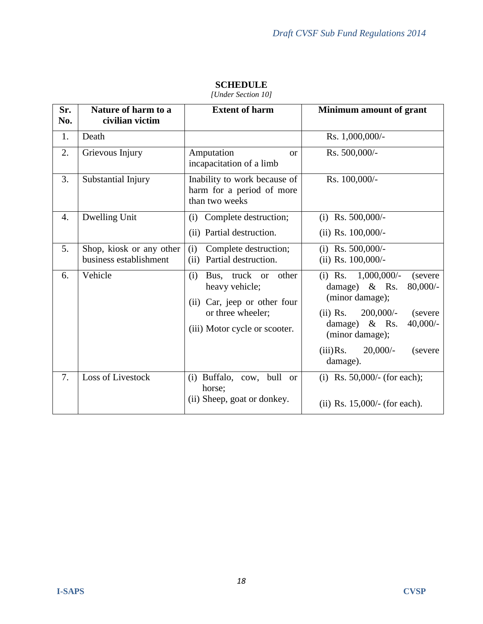| Sr.<br>No. | Nature of harm to a<br>civilian victim             | <b>Extent of harm</b>                                                                                                                    | Minimum amount of grant                                                                                                                                                                                                                |
|------------|----------------------------------------------------|------------------------------------------------------------------------------------------------------------------------------------------|----------------------------------------------------------------------------------------------------------------------------------------------------------------------------------------------------------------------------------------|
| 1.         | Death                                              |                                                                                                                                          | Rs. 1,000,000/-                                                                                                                                                                                                                        |
| 2.         | Grievous Injury                                    | Amputation<br><b>or</b><br>incapacitation of a limb                                                                                      | Rs. 500,000/-                                                                                                                                                                                                                          |
| 3.         | Substantial Injury                                 | Inability to work because of<br>harm for a period of more<br>than two weeks                                                              | Rs. 100,000/-                                                                                                                                                                                                                          |
| 4.         | Dwelling Unit                                      | Complete destruction;<br>(i)<br>(ii) Partial destruction.                                                                                | (i) Rs. $500,000/-$<br>(ii) Rs. $100,000/-$                                                                                                                                                                                            |
| 5.         | Shop, kiosk or any other<br>business establishment | (i)<br>Complete destruction;<br>Partial destruction.<br>(ii)                                                                             | (i) Rs. $500,000/-$<br>(ii) Rs. $100,000/-$                                                                                                                                                                                            |
| 6.         | Vehicle                                            | other<br>(i)<br>truck or<br>Bus.<br>heavy vehicle;<br>(ii) Car, jeep or other four<br>or three wheeler;<br>(iii) Motor cycle or scooter. | (i) Rs. $1,000,000/$ -<br>(severe)<br>damage) & Rs.<br>$80,000/$ -<br>(minor damage);<br>$200,000/$ -<br>$(ii)$ Rs.<br>(severe<br>$40,000/-$<br>damage) & Rs.<br>(minor damage);<br>$20,000/$ -<br>$(iii)$ Rs.<br>(severe)<br>damage). |
| 7.         | Loss of Livestock                                  | (i) Buffalo, cow, bull<br>or<br>horse;<br>(ii) Sheep, goat or donkey.                                                                    | (i) Rs. $50,000/$ - (for each);<br>(ii) Rs. $15,000/$ - (for each).                                                                                                                                                                    |

## **SCHEDULE**

*[Under Section 10]*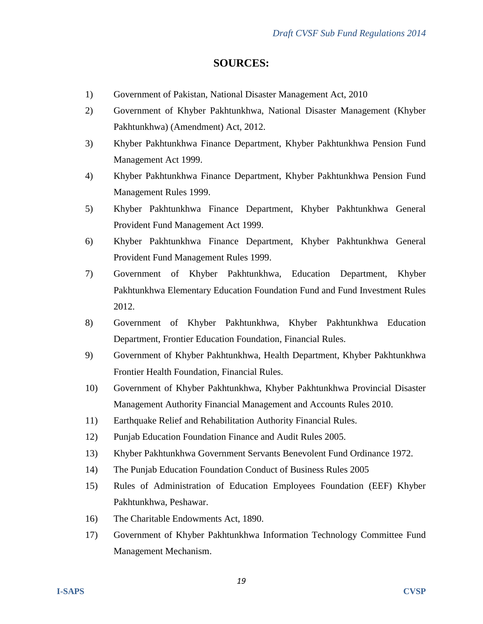#### **SOURCES:**

- 1) Government of Pakistan, National Disaster Management Act, 2010
- 2) Government of Khyber Pakhtunkhwa, National Disaster Management (Khyber Pakhtunkhwa) (Amendment) Act, 2012.
- 3) Khyber Pakhtunkhwa Finance Department, Khyber Pakhtunkhwa Pension Fund Management Act 1999.
- 4) Khyber Pakhtunkhwa Finance Department, Khyber Pakhtunkhwa Pension Fund Management Rules 1999.
- 5) Khyber Pakhtunkhwa Finance Department, Khyber Pakhtunkhwa General Provident Fund Management Act 1999.
- 6) Khyber Pakhtunkhwa Finance Department, Khyber Pakhtunkhwa General Provident Fund Management Rules 1999.
- 7) Government of Khyber Pakhtunkhwa, Education Department, Khyber Pakhtunkhwa Elementary Education Foundation Fund and Fund Investment Rules 2012.
- 8) Government of Khyber Pakhtunkhwa, Khyber Pakhtunkhwa Education Department, Frontier Education Foundation, Financial Rules.
- 9) Government of Khyber Pakhtunkhwa, Health Department, Khyber Pakhtunkhwa Frontier Health Foundation, Financial Rules.
- 10) Government of Khyber Pakhtunkhwa, Khyber Pakhtunkhwa Provincial Disaster Management Authority Financial Management and Accounts Rules 2010.
- 11) Earthquake Relief and Rehabilitation Authority Financial Rules.
- 12) Punjab Education Foundation Finance and Audit Rules 2005.
- 13) Khyber Pakhtunkhwa Government Servants Benevolent Fund Ordinance 1972.
- 14) The Punjab Education Foundation Conduct of Business Rules 2005
- 15) Rules of Administration of Education Employees Foundation (EEF) Khyber Pakhtunkhwa, Peshawar.
- 16) The Charitable Endowments Act, 1890.
- 17) Government of Khyber Pakhtunkhwa Information Technology Committee Fund Management Mechanism.